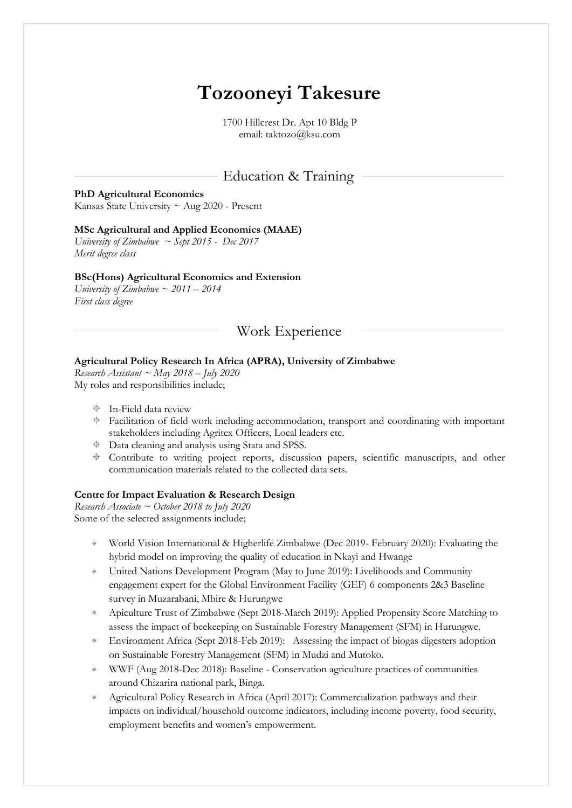# **Tozooneyi Takesure**

1700 Hillcrest Dr. Apt 10 Bldg P email: taktozo@ksu.com

# Education & Training

#### **PhD Agricultural Economics**

Kansas State University ~ Aug 2020 - Present

#### **MSc Agricultural and Applied Economics (MAAE)**

*University of Zimbabwe ~ Sept 2015 - Dec 2017 Merit degree class*

#### **BSc(Hons) Agricultural Economics and Extension**

*University of Zimbabwe ~ 2011 – 2014 First class degree*

## Work Experience

#### **Agricultural Policy Research In Africa (APRA), University of Zimbabwe**

*Research Assistant ~ May 2018 – July 2020* My roles and responsibilities include;

- $\triangleq$  In-Field data review
- $\triangleq$  Facilitation of field work including accommodation, transport and coordinating with important stakeholders including Agritex Officers, Local leaders etc.
- Data cleaning and analysis using Stata and SPSS.
- $\triangleq$  Contribute to writing project reports, discussion papers, scientific manuscripts, and other communication materials related to the collected data sets.

#### **Centre for Impact Evaluation & Research Design**

*Research Associate ~ October 2018 to July 2020* Some of the selected assignments include;

- ⌖ World Vision International & Higherlife Zimbabwe (Dec 2019- February 2020): Evaluating the hybrid model on improving the quality of education in Nkayi and Hwange
- United Nations Development Program (May to June 2019): Livelihoods and Community engagement expert for the Global Environment Facility (GEF) 6 components 2&3 Baseline survey in Muzarabani, Mbire & Hurungwe
- Apiculture Trust of Zimbabwe (Sept 2018-March 2019): Applied Propensity Score Matching to assess the impact of beekeeping on Sustainable Forestry Management (SFM) in Hurungwe.
- ⌖ Environment Africa (Sept 2018-Feb 2019): Assessing the impact of biogas digesters adoption on Sustainable Forestry Management (SFM) in Mudzi and Mutoko.
- ⌖ WWF (Aug 2018-Dec 2018): Baseline Conservation agriculture practices of communities around Chizarira national park, Binga.
- Agricultural Policy Research in Africa (April 2017): Commercialization pathways and their impacts on individual/household outcome indicators, including income poverty, food security, employment benefits and women's empowerment.